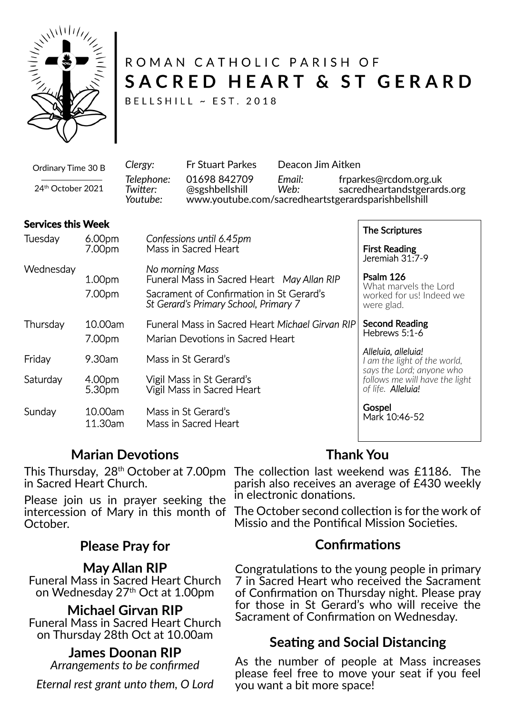

# ROMAN CATHOLIC PARISH OF SACRED HEART & ST GERARD

BELLSHILL ~ EST. 2018

| Ordinary Time 30 B<br>24th October 2021 |                              | Clergy:                                                                                                                                            | <b>Fr Stuart Parkes</b>                                                                                 | Deacon Jim Aitken                       |  |                                                                                                                                          |
|-----------------------------------------|------------------------------|----------------------------------------------------------------------------------------------------------------------------------------------------|---------------------------------------------------------------------------------------------------------|-----------------------------------------|--|------------------------------------------------------------------------------------------------------------------------------------------|
|                                         |                              | Telephone:<br>Twitter:<br>Youtube:                                                                                                                 | 01698 842709<br>Email:<br>@sgshbellshill<br>Web:<br>www.youtube.com/sacredheartstgerardsparishbellshill |                                         |  | frparkes@rcdom.org.uk<br>sacredheartandstgerards.org                                                                                     |
| <b>Services this Week</b>               |                              |                                                                                                                                                    |                                                                                                         |                                         |  | <b>The Scriptures</b>                                                                                                                    |
| Tuesday                                 | 6.00 <sub>pm</sub>           |                                                                                                                                                    | Confessions until 6.45pm                                                                                |                                         |  |                                                                                                                                          |
|                                         | 7.00pm                       | Mass in Sacred Heart                                                                                                                               |                                                                                                         | <b>First Reading</b><br>Jeremiah 31:7-9 |  |                                                                                                                                          |
| Wednesday                               | 1.00 <sub>pm</sub><br>7.00pm | No morning Mass<br>Funeral Mass in Sacred Heart May Allan RIP<br>Sacrament of Confirmation in St Gerard's<br>St Gerard's Primary School, Primary 7 |                                                                                                         |                                         |  | Psalm 126<br>What marvels the Lord<br>worked for us! Indeed we<br>were glad.                                                             |
| Thursday                                | 10.00am<br>7.00pm            |                                                                                                                                                    | Funeral Mass in Sacred Heart Michael Girvan RIP<br>Marian Devotions in Sacred Heart                     |                                         |  | <b>Second Reading</b><br>Hebrews 5:1-6                                                                                                   |
| Friday                                  | 9.30am                       |                                                                                                                                                    | Mass in St Gerard's<br>Vigil Mass in St Gerard's<br>Vigil Mass in Sacred Heart                          |                                         |  | Alleluia, alleluia!<br>I am the light of the world,<br>says the Lord; anyone who<br>follows me will have the light<br>of life. Alleluia! |
| Saturday                                | 4.00pm<br>5.30pm             |                                                                                                                                                    |                                                                                                         |                                         |  |                                                                                                                                          |
| Sunday                                  | 10.00am<br>11.30am           |                                                                                                                                                    | Mass in St Gerard's<br>Mass in Sacred Heart                                                             |                                         |  | Gospel<br>Mark 10:46-52                                                                                                                  |

# **Marian Devotions**

in Sacred Heart Church.

Please join us in prayer seeking the intercession of Mary in this month of October.

# **Please Pray for**

### **May Allan RIP**

Funeral Mass in Sacred Heart Church on Wednesday 27<sup>th</sup> Oct at 1.00pm

# **Michael Girvan RIP**

Funeral Mass in Sacred Heart Church on Thursday 28th Oct at 10.00am

#### **James Doonan RIP** *Arrangements to be confirmed*

*Eternal rest grant unto them, O Lord*

**Thank You**

This Thursday,  $28<sup>th</sup>$  October at 7.00pm The collection last weekend was £1186. The parish also receives an average of £430 weekly in electronic donations.

> The October second collection is for the work of Missio and the Pontifical Mission Societies.

# **Confirmations**

Congratulations to the young people in primary 7 in Sacred Heart who received the Sacrament of Confirmation on Thursday night. Please pray for those in St Gerard's who will receive the Sacrament of Confirmation on Wednesday.

# **Seating and Social Distancing**

As the number of people at Mass increases please feel free to move your seat if you feel you want a bit more space!